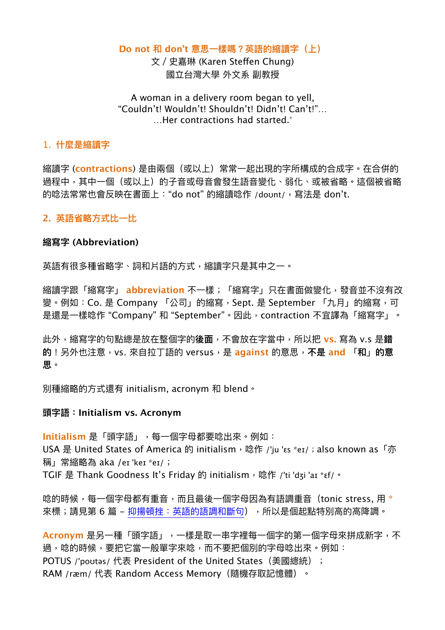### **Do not 和 don't 意思⼀樣嗎?英語的縮讀字(上)**

<span id="page-0-0"></span>文 / 史嘉琳 (Karen Steffen Chung) 國立台灣⼤學 外⽂系 副教授

## A woman in a delivery room began to yell, "Couldn't! Wouldn't! Shouldn't! Didn't! Can't!"… …Her contractions had started[.\\*](#page-4-0)

## 1. **什麼是縮讀字**

縮讀字 (**contractions**) 是由兩個(或以上)常常⼀起出現的字所構成的合成字。在合併的 過程中,其中一個(或以上)的子音或母音會發生語音變化、弱化、或被省略。這個被省略 的唸法常常也會反映在書面上: "do not" 的縮讀唸作 /doʊnt/, 寫法是 don't.

## **2. 英語省略⽅式比⼀比**

## **縮寫字 (Abbreviation)**

英語有很多種省略字、詞和片語的方式,縮讀字只是其中之一。

縮讀字跟「縮寫字」 **abbreviation** 不⼀樣;「縮寫字」只在書⾯做變化,發⾳並不沒有改 變。例如:Co. 是 Company 「公司」的縮寫,Sept. 是 September 「九月」的縮寫,可 是還是一樣唸作"Company"和"September"。因此, contraction 不宜譯為「縮寫字」。

此外,縮寫字的句點總是放在整個字的**後⾯**,不會放在字當中,所以把 **vs.** 寫為 v.s 是**錯 的**!另外也注意,vs. 來⾃拉丁語的 versus,是 **against** 的意思,**不是 and** 「**和**」**的意 思**。

別種縮略的⽅式還有 initialism, acronym 和 blend。

## **頭字語:Initialism vs. Acronym**

**Initialism** 是「頭字語」,每一個字母都要唸出來。例如: USA 是 United States of America 的 initialism, 唸作 /'ju 'ɛs \*eɪ/; also known as「亦 稱」常縮略為 aka /eɪ 'keɪ \*eɪ/; TGIF 是 Thank Goodness It's Friday 的 initialism, 唸作 /'ti 'dʒi 'aɪ \*ɛf/。

唸的時候,每一個字母都有重音,而且最後一個字母因為有語調重音(tonic stress, 用 \* 來標;請見第6篇 - [抑揚頓挫:英語的語調和斷句](https://www.ntufe.org/%e6%8a%91%e6%8f%9a%e9%a0%93%e6%8c%ab%ef%bc%9a%e8%8b%b1%e8%aa%9e%e7%9a%84%e8%aa%9e%e8%aa%bf%e5%92%8c%e6%96%b7%e5%8f%a5/)),所以是個起點特別高的高降調。

Acronym 是另一種「頭字語」,一樣是取一串字裡每一個字的第一個字母來拼成新字,不 過,唸的時候,要把它當一般單字來唸,而不要把個別的字母唸出來。例如: POTUS /'poʊtəs/ 代表 President of the United States (美國總統) ; RAM /ræm/代表 Random Access Memory (隨機存取記憶體)。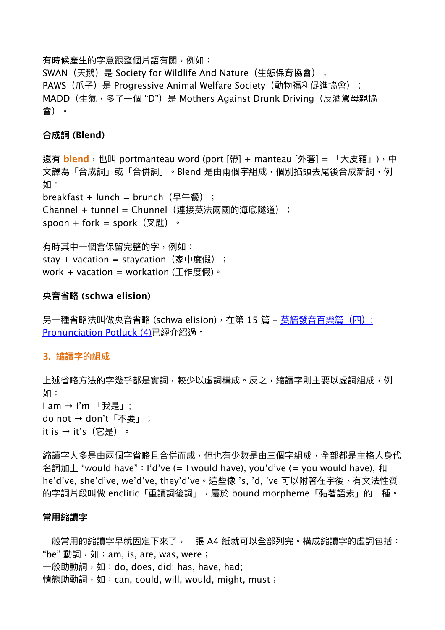有時候產⽣的字意跟整個片語有關,例如:

SWAN (天鵝) 是 Society for Wildlife And Nature (生態保育協會); PAWS(爪子)是 Progressive Animal Welfare Society(動物福利促進協會); MADD (生氣, 多了一個 "D") 是 Mothers Against Drunk Driving (反酒駕母親協 會)。

## **合成詞 (Blend)**

還有 blend,也叫 portmanteau word (port [帶] + manteau [外套] = 「大皮箱」),中 文譯為「合成詞」或「合併詞」。Blend 是由兩個字組成,個別掐頭去尾後合成新詞,例 如: breakfast + lunch = brunch (早午餐) ; Channel + tunnel = Chunnel (連接英法兩國的海底隧道); spoon + fork = spork $(\nabla \mathbb{E}) \cdot$ 有時其中一個會保留完整的字,例如: stay + vacation = staycation (家中度假) ;

work + vacation = workation  $(\text{I} \nmid \text{Fg} \mathbb{R}) \cdot$ 

## **央⾳省略 (schwa elision)**

另一種省略法叫做央音省略 (schwa elision),在第 15 篇 – 英語發音百樂篇(四): [Pronunciation Potluck \(4\)](https://www.ntufe.org/%e8%8b%b1%e8%aa%9e%e7%99%bc%e9%9f%b3%e7%99%be%e6%a8%82%e7%af%87%ef%bc%88%e5%9b%9b%ef%bc%89-pronunciation-potluck-4/)已經介紹過。

## **3. 縮讀字的組成**

上述省略方法的字幾乎都是實詞,較少以虛詞構成。反之,縮讀字則主要以虛詞組成,例 如:  $I$  am →  $I'm$  「我是」; do not → don't「不要」; it is → it's(它是)。

縮讀字大多是由兩個字省略且合併而成,但也有少數是由三個字組成,全部都是主格人身代 名詞加上 "would have":I'd've (= I would have), you'd've (= you would have), 和 he'd've, she'd've, we'd've, they'd've。這些像 's, 'd, 've 可以附著在字後、有⽂法性質 的字詞片段叫做 enclitic「重讀詞後詞」,屬於 bound morpheme「黏著語素」的一種。

### **常⽤縮讀字**

一般常用的縮讀字早就固定下來了,一張 A4 紙就可以全部列完。構成縮讀字的虛詞包括: "be" 動詞,如:am, is, are, was, were; 一般助動詞,如:do, does, did; has, have, had; 情態助動詞, 如: can, could, will, would, might, must;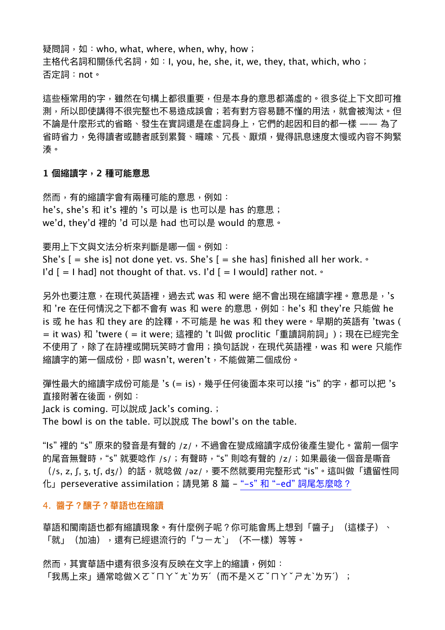疑問詞,如:who, what, where, when, why, how; 主格代名詞和關係代名詞, 如: I, you, he, she, it, we, they, that, which, who; 否定詞:not。

這些極常用的字,雖然在句構上都很重要,但是本身的意思都滿虛的。很多從上下文即可推 測,所以即使講得不很完整也不易造成誤會;若有對方容易聽不懂的用法,就會被淘汰。但 不論是什麼形式的省略、發生在實詞還是在虛詞身上,它們的起因和目的都一樣 —— 為了 省時省力,免得讀者或聽者感到累贅、曪嗦、冗長、厭煩,覺得訊息速度太慢或內容不夠緊 湊。

#### **1 個縮讀字,2 種可能意思**

然而,有的縮讀字會有兩種可能的意思,例如: he's, she's 和 it's 裡的 's 可以是 is 也可以是 has 的意思; we'd, they'd 裡的 'd 可以是 had 也可以是 would 的意思。

要用上下文與文法分析來判斷是哪一個。例如:

She's  $[$  = she is] not done yet. vs. She's  $[$  = she has] finished all her work.  $\circ$ 

I'd  $[$  = I had] not thought of that. vs. I'd  $[$  = I would] rather not.  $\circ$ 

另外也要注意,在現代英語裡,過去式 was 和 were 絕不會出現在縮讀字裡。意思是,'s 和 're 在任何情況之下都不會有 was 和 were 的意思,例如:he's 和 they're 只能做 he is 或 he has 和 they are 的詮釋, 不可能是 he was 和 they were。早期的英語有 'twas ( = it was) 和 'twere ( = it were; 這裡的 't 叫做 proclitic「重讀詞前詞」);現在已經完全 不使用了,除了在詩裡或開玩笑時才會用;換句話說,在現代英語裡,was 和 were 只能作 縮讀字的第一個成份,即 wasn't, weren't,不能做第二個成份。

彈性最大的縮讀字成份可能是 's (= is),幾乎任何後面本來可以接 "is" 的字,都可以把 's 直接附著在後面,例如:

Jack is coming. 可以說成 Jack's coming.;

The bowl is on the table. 可以說成 The bowl's on the table.

"Is"裡的"s"原來的發音是有聲的 /z/,不過會在變成縮讀字成份後產生變化。當前一個字 的尾音無聲時,"s" 就要唸作 /s/;有聲時,"s" 則唸有聲的 /z/;如果最後一個音是嘶音 (/s, z, ʃ, ʒ, tʃ, dʒ/) 的話,就唸做 /əz/,要不然就要用完整形式 "is"。這叫做「遺留性同 化」perseverative assimilation;請⾒第 8 篇 - "-s" 和 "-ed" [詞尾怎麼唸?](https://www.ntufe.org/s-%e5%92%8c-ed-%e8%a9%9e%e5%b0%be%e6%80%8e%e9%ba%bc%e5%94%b8%ef%bc%9f/)

#### 4. **醬⼦?釀⼦?華語也在縮讀**

華語和閩南語也都有縮讀現象。有什麼例子呢?你可能會馬上想到「醬子」(這樣子)、 「就」(加油),還有已經退流行的「ㄅㄧㅊˋ」(不一樣)等等。

然而,其實華語中還有很多沒有反映在文字上的縮讀,例如: 「我馬上來」通常唸做ㄨㄜˇㄇㄚˇ 尢ˋ为ㄞˊ(而不是ㄨㄜˇㄇㄚˇㄕㄊˋㄌㄞˊ);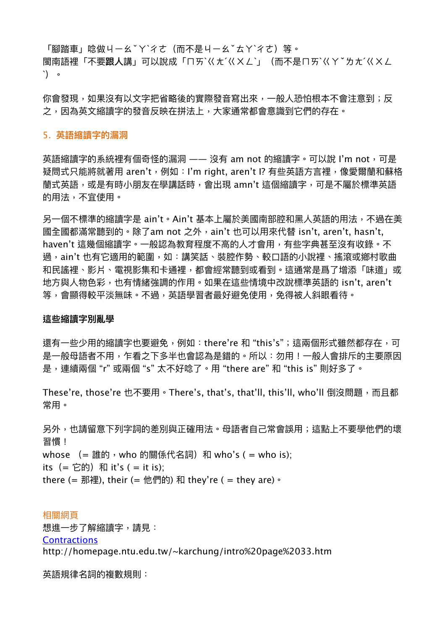「腳踏車」唸做ㄐㄧㄠˇㄚˋ彳ㄜ(而不是ㄐㄧㄠˇㄊㄚˋ彳ㄜ)等。

閩南語裡「不要**跟⼈**講」可以說成「ㄇㄞˋㄍㄤˊㄍㄨㄥˋ」(⽽不是ㄇㄞˋㄍㄚˇㄌㄤˊㄍㄨㄥ ˋ)。

你會發現,如果沒有以文字把省略後的實際發音寫出來,一般人恐怕根本不會注意到;反 之,因為英文縮讀字的發音反映在拼法上,大家通常都會意識到它們的存在。

#### 5. **英語縮讀字的漏洞**

英語縮讀字的系統裡有個奇怪的漏洞 —— 沒有 am not 的縮讀字。可以說 I'm not, 可是 疑問式只能將就著用 aren't,例如:I'm right, aren't I? 有些英語方言裡,像愛爾蘭和蘇格 蘭式英語,或是有時小朋友在學講話時,會出現 amn't 這個縮讀字,可是不屬於標準英語 的用法,不宜使用。

另一個不標準的縮讀字是 ain't。Ain't 基本上屬於美國南部腔和黑人英語的用法,不過在美 國全國都滿常聽到的。除了am not 之外,ain't 也可以用來代替 isn't, aren't, hasn't, haven't 這幾個縮讀字。一般認為教育程度不高的人才會用,有些字典甚至沒有收錄。不 過,ain't 也有它適用的範圍,如:講笑話、裝腔作勢、較口語的小說裡、搖滾或鄉村歌曲 和民謠裡、影片、電視影集和卡通裡,都會經常聽到或看到。這通常是爲了增添「味道」或 地方與人物色彩,也有情緒強調的作用。如果在這些情境中改說標準英語的 isn't, aren't 等,會顯得較平淡無味。不過,英語學習者最好避免使⽤,免得被⼈斜眼看待。

#### **這些縮讀字別亂學**

還有一些少用的縮讀字也要避免,例如: there're 和 "this's";這兩個形式雖然都存在,可 是一般母語者不用,乍看之下多半也會認為是錯的。所以:勿用!一般人會排斥的主要原因 是,連續兩個 "r" 或兩個 "s" 太不好唸了。⽤ "there are" 和 "this is" 則好多了。

These're, those're 也不要用。There's, that's, that'll, this'll, who'll 倒沒問題,而且都 常⽤。

另外,也請留意下列字詞的差別與正確⽤法。⺟語者⾃⼰常會誤⽤;這點上不要學他們的壞 習慣! whose  $( =$  誰的, who 的關係代名詞) 和 who's  $( =$  who is); its(= 它的)和 it's ( = it is); there (= 那裡), their (= 他們的) 和 they're ( = they are)  $\circ$ 

### 相關網頁

想進一步了解縮讀字,請見:

**[Contractions](http://homepage.ntu.edu.tw/~karchung/intro%20page%2033.htm)** 

http://homepage.ntu.edu.tw/~karchung/intro%20page%2033.htm

英語規律名詞的複數規則: